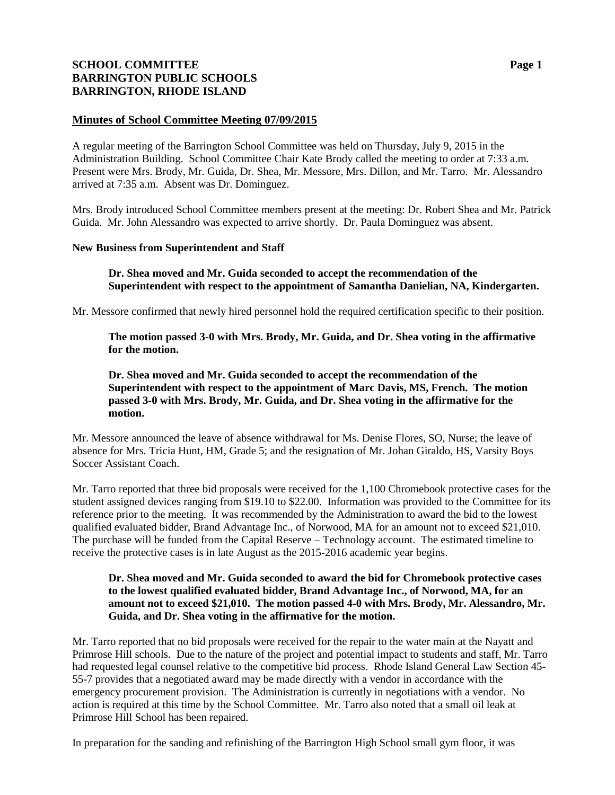# **SCHOOL COMMITTEE Page 1 BARRINGTON PUBLIC SCHOOLS BARRINGTON, RHODE ISLAND**

# **Minutes of School Committee Meeting 07/09/2015**

A regular meeting of the Barrington School Committee was held on Thursday, July 9, 2015 in the Administration Building. School Committee Chair Kate Brody called the meeting to order at 7:33 a.m. Present were Mrs. Brody, Mr. Guida, Dr. Shea, Mr. Messore, Mrs. Dillon, and Mr. Tarro. Mr. Alessandro arrived at 7:35 a.m. Absent was Dr. Dominguez.

Mrs. Brody introduced School Committee members present at the meeting: Dr. Robert Shea and Mr. Patrick Guida. Mr. John Alessandro was expected to arrive shortly. Dr. Paula Dominguez was absent.

# **New Business from Superintendent and Staff**

**Dr. Shea moved and Mr. Guida seconded to accept the recommendation of the Superintendent with respect to the appointment of Samantha Danielian, NA, Kindergarten.** 

Mr. Messore confirmed that newly hired personnel hold the required certification specific to their position.

**The motion passed 3-0 with Mrs. Brody, Mr. Guida, and Dr. Shea voting in the affirmative for the motion.**

**Dr. Shea moved and Mr. Guida seconded to accept the recommendation of the Superintendent with respect to the appointment of Marc Davis, MS, French. The motion passed 3-0 with Mrs. Brody, Mr. Guida, and Dr. Shea voting in the affirmative for the motion.**

Mr. Messore announced the leave of absence withdrawal for Ms. Denise Flores, SO, Nurse; the leave of absence for Mrs. Tricia Hunt, HM, Grade 5; and the resignation of Mr. Johan Giraldo, HS, Varsity Boys Soccer Assistant Coach.

Mr. Tarro reported that three bid proposals were received for the 1,100 Chromebook protective cases for the student assigned devices ranging from \$19.10 to \$22.00. Information was provided to the Committee for its reference prior to the meeting. It was recommended by the Administration to award the bid to the lowest qualified evaluated bidder, Brand Advantage Inc., of Norwood, MA for an amount not to exceed \$21,010. The purchase will be funded from the Capital Reserve – Technology account. The estimated timeline to receive the protective cases is in late August as the 2015-2016 academic year begins.

# **Dr. Shea moved and Mr. Guida seconded to award the bid for Chromebook protective cases to the lowest qualified evaluated bidder, Brand Advantage Inc., of Norwood, MA, for an amount not to exceed \$21,010. The motion passed 4-0 with Mrs. Brody, Mr. Alessandro, Mr. Guida, and Dr. Shea voting in the affirmative for the motion.**

Mr. Tarro reported that no bid proposals were received for the repair to the water main at the Nayatt and Primrose Hill schools. Due to the nature of the project and potential impact to students and staff, Mr. Tarro had requested legal counsel relative to the competitive bid process. Rhode Island General Law Section 45- 55-7 provides that a negotiated award may be made directly with a vendor in accordance with the emergency procurement provision. The Administration is currently in negotiations with a vendor. No action is required at this time by the School Committee. Mr. Tarro also noted that a small oil leak at Primrose Hill School has been repaired.

In preparation for the sanding and refinishing of the Barrington High School small gym floor, it was